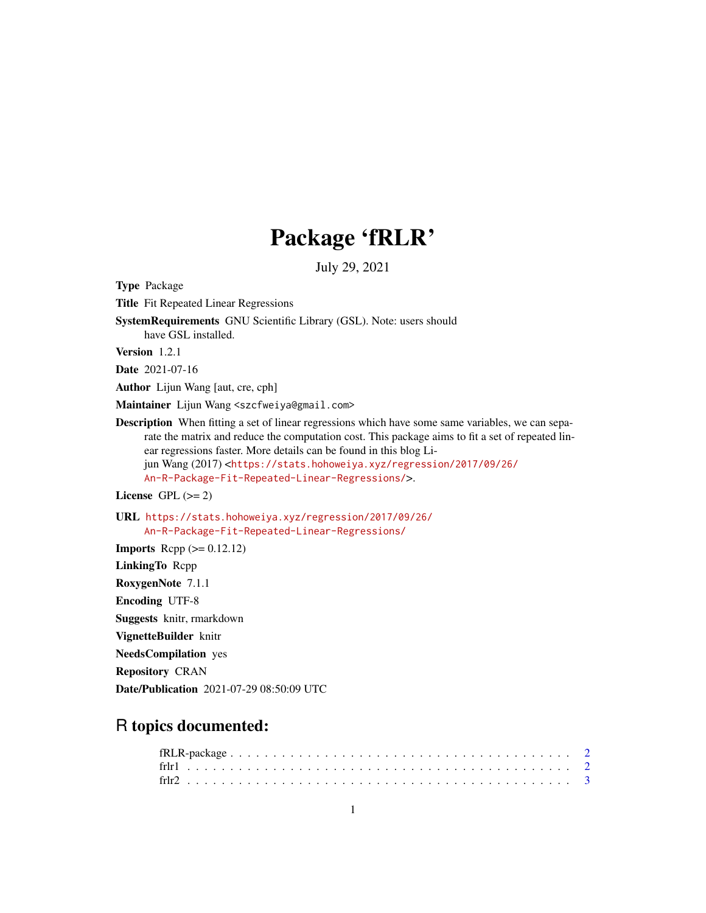# Package 'fRLR'

July 29, 2021

| <b>Type Package</b>                                                                                                                                                                                                                                                                                                                                                                                                                       |
|-------------------------------------------------------------------------------------------------------------------------------------------------------------------------------------------------------------------------------------------------------------------------------------------------------------------------------------------------------------------------------------------------------------------------------------------|
| <b>Title</b> Fit Repeated Linear Regressions                                                                                                                                                                                                                                                                                                                                                                                              |
| SystemRequirements GNU Scientific Library (GSL). Note: users should<br>have GSL installed.                                                                                                                                                                                                                                                                                                                                                |
| <b>Version</b> $1.2.1$                                                                                                                                                                                                                                                                                                                                                                                                                    |
| <b>Date</b> 2021-07-16                                                                                                                                                                                                                                                                                                                                                                                                                    |
| <b>Author</b> Lijun Wang [aut, cre, cph]                                                                                                                                                                                                                                                                                                                                                                                                  |
| Maintainer Lijun Wang <szcfweiya@gmail.com></szcfweiya@gmail.com>                                                                                                                                                                                                                                                                                                                                                                         |
| <b>Description</b> When fitting a set of linear regressions which have some same variables, we can sepa-<br>rate the matrix and reduce the computation cost. This package aims to fit a set of repeated lin-<br>ear regressions faster. More details can be found in this blog Li-<br>jun Wang (2017) <https: 09="" 2017="" 26="" <br="" regression="" stats.hohoweiya.xyz="">An-R-Package-Fit-Repeated-Linear-Regressions/&gt;.</https:> |
| License GPL $(>= 2)$                                                                                                                                                                                                                                                                                                                                                                                                                      |
| URL https://stats.hohoweiya.xyz/regression/2017/09/26/<br>An-R-Package-Fit-Repeated-Linear-Regressions/                                                                                                                                                                                                                                                                                                                                   |
| <b>Imports</b> Repp $(>= 0.12.12)$                                                                                                                                                                                                                                                                                                                                                                                                        |
| LinkingTo Rcpp                                                                                                                                                                                                                                                                                                                                                                                                                            |
| RoxygenNote 7.1.1                                                                                                                                                                                                                                                                                                                                                                                                                         |
| <b>Encoding UTF-8</b>                                                                                                                                                                                                                                                                                                                                                                                                                     |
| <b>Suggests</b> knitr, rmarkdown                                                                                                                                                                                                                                                                                                                                                                                                          |
| VignetteBuilder knitr                                                                                                                                                                                                                                                                                                                                                                                                                     |
| <b>NeedsCompilation</b> yes                                                                                                                                                                                                                                                                                                                                                                                                               |
| <b>Repository CRAN</b>                                                                                                                                                                                                                                                                                                                                                                                                                    |
| <b>Date/Publication</b> 2021-07-29 08:50:09 UTC                                                                                                                                                                                                                                                                                                                                                                                           |

# R topics documented: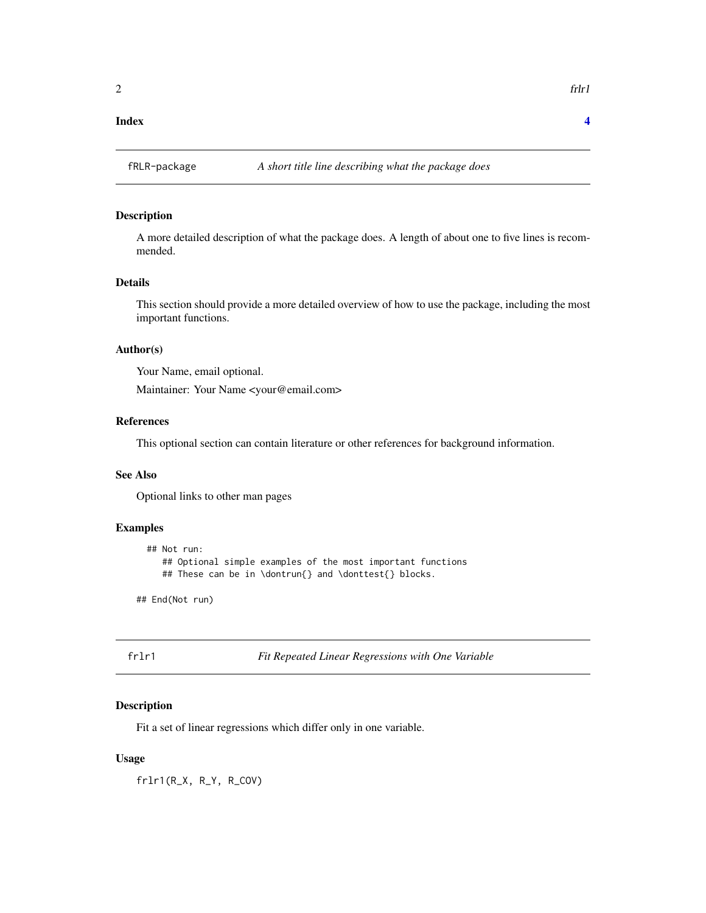#### <span id="page-1-0"></span>**Index** [4](#page-3-0)

# Description

A more detailed description of what the package does. A length of about one to five lines is recommended.

#### Details

This section should provide a more detailed overview of how to use the package, including the most important functions.

#### Author(s)

Your Name, email optional.

Maintainer: Your Name <your@email.com>

## References

This optional section can contain literature or other references for background information.

### See Also

Optional links to other man pages

# Examples

```
## Not run:
   ## Optional simple examples of the most important functions
   ## These can be in \dontrun{} and \donttest{} blocks.
```
## End(Not run)

frlr1 *Fit Repeated Linear Regressions with One Variable*

#### Description

Fit a set of linear regressions which differ only in one variable.

#### Usage

frlr1(R\_X, R\_Y, R\_COV)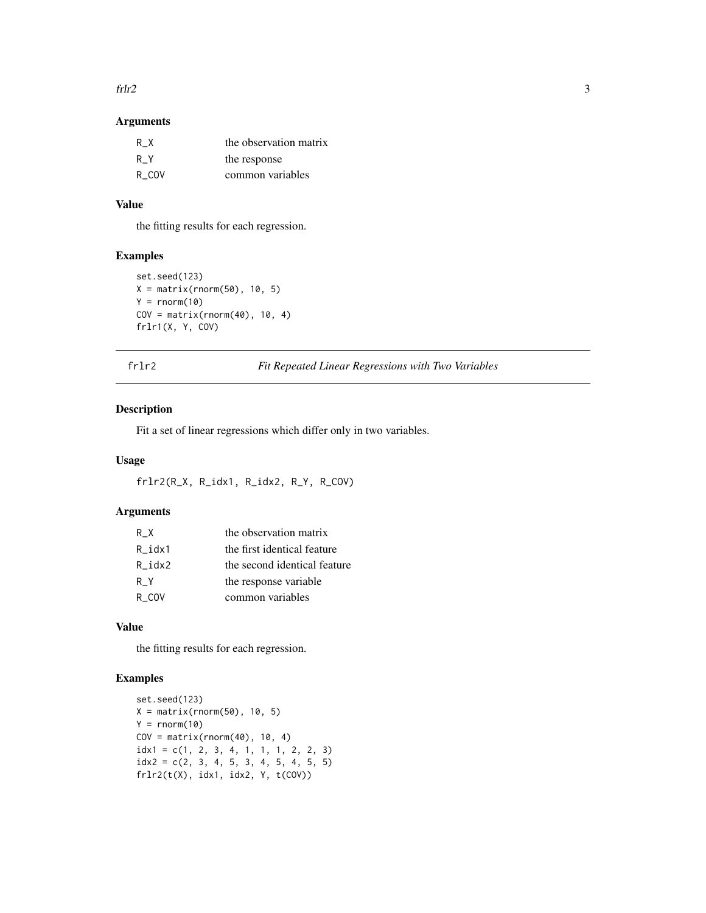#### <span id="page-2-0"></span> $fr12$  3

# Arguments

| R X   | the observation matrix |
|-------|------------------------|
| R Y   | the response           |
| R COV | common variables       |

# Value

the fitting results for each regression.

# Examples

```
set.seed(123)
X = matrix(rnorm(50), 10, 5)Y = rnorm(10)COV = matrix(rnorm(40), 10, 4)frlr1(X, Y, COV)
```
frlr2 *Fit Repeated Linear Regressions with Two Variables*

### Description

Fit a set of linear regressions which differ only in two variables.

#### Usage

frlr2(R\_X, R\_idx1, R\_idx2, R\_Y, R\_COV)

# Arguments

| R X    | the observation matrix       |
|--------|------------------------------|
| R idx1 | the first identical feature  |
| R idx2 | the second identical feature |
| R Y    | the response variable        |
| R COV  | common variables             |

# Value

the fitting results for each regression.

# Examples

```
set.seed(123)
X = matrix(rnorm(50), 10, 5)Y = rnorm(10)COV = matrix(rnorm(40), 10, 4)idx1 = c(1, 2, 3, 4, 1, 1, 1, 2, 2, 3)idx2 = c(2, 3, 4, 5, 3, 4, 5, 4, 5, 5)frlr2(t(X), idx1, idx2, Y, t(COV))
```